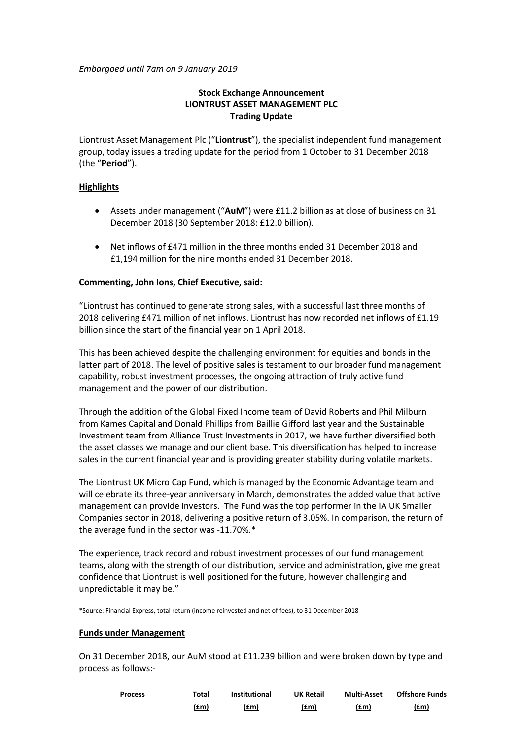*Embargoed until 7am on 9 January 2019*

# **Stock Exchange Announcement LIONTRUST ASSET MANAGEMENT PLC Trading Update**

Liontrust Asset Management Plc ("**Liontrust**"), the specialist independent fund management group, today issues a trading update for the period from 1 October to 31 December 2018 (the "**Period**").

# **Highlights**

- Assets under management ("**AuM**") were £11.2 billionas at close of business on 31 December 2018 (30 September 2018: £12.0 billion).
- Net inflows of £471 million in the three months ended 31 December 2018 and £1,194 million for the nine months ended 31 December 2018.

# **Commenting, John Ions, Chief Executive, said:**

"Liontrust has continued to generate strong sales, with a successful last three months of 2018 delivering £471 million of net inflows. Liontrust has now recorded net inflows of £1.19 billion since the start of the financial year on 1 April 2018.

This has been achieved despite the challenging environment for equities and bonds in the latter part of 2018. The level of positive sales is testament to our broader fund management capability, robust investment processes, the ongoing attraction of truly active fund management and the power of our distribution.

Through the addition of the Global Fixed Income team of David Roberts and Phil Milburn from Kames Capital and Donald Phillips from Baillie Gifford last year and the Sustainable Investment team from Alliance Trust Investments in 2017, we have further diversified both the asset classes we manage and our client base. This diversification has helped to increase sales in the current financial year and is providing greater stability during volatile markets.

The Liontrust UK Micro Cap Fund, which is managed by the Economic Advantage team and will celebrate its three-year anniversary in March, demonstrates the added value that active management can provide investors. The Fund was the top performer in the IA UK Smaller Companies sector in 2018, delivering a positive return of 3.05%. In comparison, the return of the average fund in the sector was -11.70%.\*

The experience, track record and robust investment processes of our fund management teams, along with the strength of our distribution, service and administration, give me great confidence that Liontrust is well positioned for the future, however challenging and unpredictable it may be."

\*Source: Financial Express, total return (income reinvested and net of fees), to 31 December 2018

# **Funds under Management**

On 31 December 2018, our AuM stood at £11.239 billion and were broken down by type and process as follows:-

| <b>Process</b><br><u> 1980 - Johann Barnett, fransk politiker (d. 1980)</u> | Total | <b>Institutional</b> | <b>UK Retail</b> | <b>Multi-Asset</b> | <b>Offshore Funds</b> |
|-----------------------------------------------------------------------------|-------|----------------------|------------------|--------------------|-----------------------|
|                                                                             | (£m)  | (£m)                 | (£m)             | (£m)               | (£m)                  |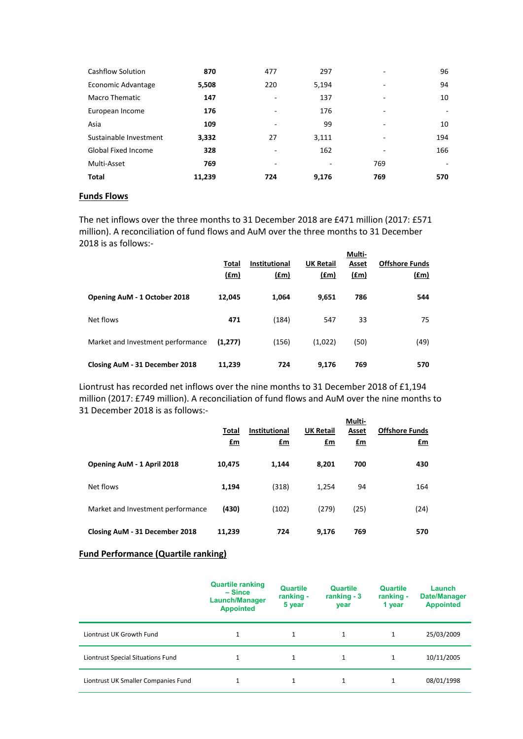| Cashflow Solution          | 870    | 477 | 297   | ٠   | 96  |
|----------------------------|--------|-----|-------|-----|-----|
| Economic Advantage         | 5,508  | 220 | 5,194 | -   | 94  |
| <b>Macro Thematic</b>      | 147    | ٠   | 137   |     | 10  |
| European Income            | 176    | ٠   | 176   | ۰   | ۰   |
| Asia                       | 109    | ۰   | 99    | -   | 10  |
| Sustainable Investment     | 3,332  | 27  | 3,111 | -   | 194 |
| <b>Global Fixed Income</b> | 328    | ۰   | 162   |     | 166 |
| Multi-Asset                | 769    | ٠   | ۰     | 769 | ۰   |
| <b>Total</b>               | 11,239 | 724 | 9,176 | 769 | 570 |

## **Funds Flows**

The net inflows over the three months to 31 December 2018 are £471 million (2017: £571 million). A reconciliation of fund flows and AuM over the three months to 31 December 2018 is as follows:-

|                                   | Total<br>$(\text{fm})$ | <b>Institutional</b><br><u>(£m)</u> | <b>UK Retail</b><br>$(\text{fm})$ | Multi-<br>Asset<br>$(\text{fm})$ | <b>Offshore Funds</b><br>$(f_m)$ |
|-----------------------------------|------------------------|-------------------------------------|-----------------------------------|----------------------------------|----------------------------------|
| Opening AuM - 1 October 2018      | 12,045                 | 1,064                               | 9,651                             | 786                              | 544                              |
| Net flows                         | 471                    | (184)                               | 547                               | 33                               | 75                               |
| Market and Investment performance | (1,277)                | (156)                               | (1,022)                           | (50)                             | (49)                             |
| Closing AuM - 31 December 2018    | 11,239                 | 724                                 | 9,176                             | 769                              | 570                              |

Liontrust has recorded net inflows over the nine months to 31 December 2018 of £1,194 million (2017: £749 million). A reconciliation of fund flows and AuM over the nine months to 31 December 2018 is as follows:-

|                                   |           |                      |                  | Multi-         |                       |
|-----------------------------------|-----------|----------------------|------------------|----------------|-----------------------|
|                                   | Total     | <b>Institutional</b> | <b>UK Retail</b> | Asset          | <b>Offshore Funds</b> |
|                                   | <u>£m</u> | $E_{\rm m}$          | $\mathbf{f}$ m   | $\mathbf{f}$ m | $fm$                  |
| Opening AuM - 1 April 2018        | 10,475    | 1.144                | 8,201            | 700            | 430                   |
| Net flows                         | 1,194     | (318)                | 1,254            | 94             | 164                   |
| Market and Investment performance | (430)     | (102)                | (279)            | (25)           | (24)                  |
| Closing AuM - 31 December 2018    | 11,239    | 724                  | 9.176            | 769            | 570                   |

# **Fund Performance (Quartile ranking)**

|                                     | <b>Quartile ranking</b><br>– Since<br><b>Launch/Manager</b><br><b>Appointed</b> | Quartile<br>ranking -<br>5 year | <b>Quartile</b><br>ranking $-3$<br>year | <b>Quartile</b><br>ranking -<br>1 year | Launch<br><b>Date/Manager</b><br><b>Appointed</b> |
|-------------------------------------|---------------------------------------------------------------------------------|---------------------------------|-----------------------------------------|----------------------------------------|---------------------------------------------------|
| Liontrust UK Growth Fund            | 1                                                                               | $\mathbf{1}$                    | 1                                       | $\mathbf{1}$                           | 25/03/2009                                        |
| Liontrust Special Situations Fund   |                                                                                 | $\mathbf{1}$                    | 1                                       |                                        | 10/11/2005                                        |
| Liontrust UK Smaller Companies Fund | $\mathbf{1}$                                                                    | $\mathbf{1}$                    | 1                                       |                                        | 08/01/1998                                        |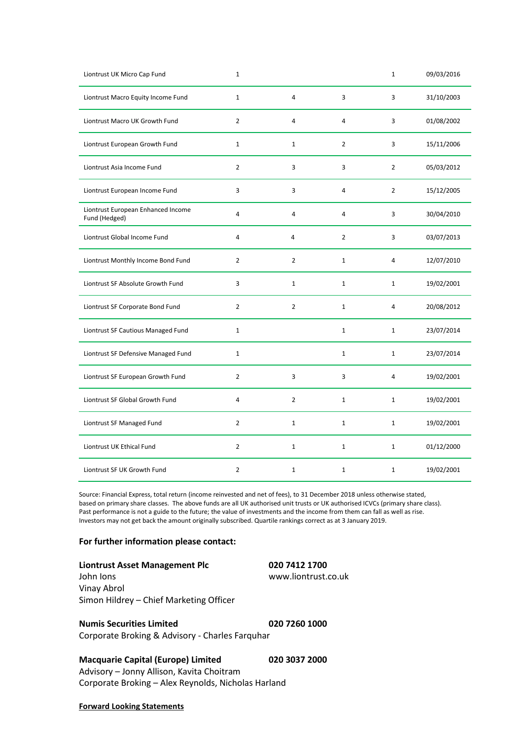| Liontrust UK Micro Cap Fund                         | $\mathbf{1}$   |                |                | $\mathbf{1}$   | 09/03/2016 |
|-----------------------------------------------------|----------------|----------------|----------------|----------------|------------|
| Liontrust Macro Equity Income Fund                  | $\mathbf{1}$   | 4              | 3              | 3              | 31/10/2003 |
| Liontrust Macro UK Growth Fund                      | $\overline{2}$ | 4              | $\overline{4}$ | 3              | 01/08/2002 |
| Liontrust European Growth Fund                      | $\mathbf{1}$   | $\mathbf{1}$   | $\overline{2}$ | 3              | 15/11/2006 |
| Liontrust Asia Income Fund                          | $\overline{2}$ | 3              | 3              | $\overline{2}$ | 05/03/2012 |
| Liontrust European Income Fund                      | 3              | 3              | 4              | $\overline{2}$ | 15/12/2005 |
| Liontrust European Enhanced Income<br>Fund (Hedged) | 4              | $\overline{a}$ | 4              | 3              | 30/04/2010 |
| Liontrust Global Income Fund                        | $\overline{4}$ | $\overline{4}$ | $\overline{2}$ | 3              | 03/07/2013 |
| Liontrust Monthly Income Bond Fund                  | $\overline{2}$ | $\overline{2}$ | $\mathbf{1}$   | $\overline{4}$ | 12/07/2010 |
| Liontrust SF Absolute Growth Fund                   | 3              | $\mathbf{1}$   | $\mathbf{1}$   | $\mathbf{1}$   | 19/02/2001 |
| Liontrust SF Corporate Bond Fund                    | $\overline{2}$ | $\overline{2}$ | $\mathbf{1}$   | 4              | 20/08/2012 |
| Liontrust SF Cautious Managed Fund                  | $\mathbf{1}$   |                | $\mathbf{1}$   | $\mathbf{1}$   | 23/07/2014 |
| Liontrust SF Defensive Managed Fund                 | $\mathbf{1}$   |                | $\mathbf{1}$   | $\mathbf{1}$   | 23/07/2014 |
| Liontrust SF European Growth Fund                   | $\overline{2}$ | 3              | 3              | 4              | 19/02/2001 |
| Liontrust SF Global Growth Fund                     | 4              | $\overline{2}$ | $\mathbf{1}$   | $\mathbf{1}$   | 19/02/2001 |
| Liontrust SF Managed Fund                           | $\overline{2}$ | $\mathbf{1}$   | $\mathbf{1}$   | $\mathbf{1}$   | 19/02/2001 |
| Liontrust UK Ethical Fund                           | $\overline{2}$ | $\mathbf{1}$   | $\mathbf{1}$   | $\mathbf{1}$   | 01/12/2000 |
| Liontrust SF UK Growth Fund                         | $\overline{2}$ | $\mathbf{1}$   | $\mathbf{1}$   | $\mathbf{1}$   | 19/02/2001 |

Source: Financial Express, total return (income reinvested and net of fees), to 31 December 2018 unless otherwise stated, based on primary share classes. The above funds are all UK authorised unit trusts or UK authorised ICVCs (primary share class). Past performance is not a guide to the future; the value of investments and the income from them can fall as well as rise. Investors may not get back the amount originally subscribed. Quartile rankings correct as at 3 January 2019.

## **For further information please contact:**

| Liontrust Asset Management Plc          | 020 7412 1700       |
|-----------------------------------------|---------------------|
| John Ions                               | www.liontrust.co.uk |
| Vinay Abrol                             |                     |
| Simon Hildrey – Chief Marketing Officer |                     |

**Numis Securities Limited 020 7260 1000** Corporate Broking & Advisory - Charles Farquhar

**Macquarie Capital (Europe) Limited 020 3037 2000** Advisory – Jonny Allison, Kavita Choitram Corporate Broking – Alex Reynolds, Nicholas Harland

### **Forward Looking Statements**